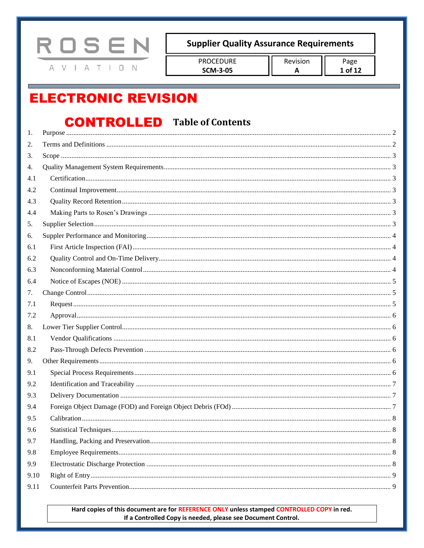

**PROCEDURE SCM-3-05** 

# **ELECTRONIC REVISION**

## **CONTROLLED** Table of Contents

| 1.   |  |
|------|--|
| 2.   |  |
| 3.   |  |
| 4.   |  |
| 4.1  |  |
| 4.2  |  |
| 4.3  |  |
| 4.4  |  |
| 5.   |  |
| 6.   |  |
| 6.1  |  |
| 6.2  |  |
| 6.3  |  |
| 6.4  |  |
| 7.   |  |
| 7.1  |  |
| 7.2  |  |
| 8.   |  |
| 8.1  |  |
| 8.2  |  |
| 9.   |  |
| 9.1  |  |
| 9.2  |  |
| 9.3  |  |
| 9.4  |  |
| 9.5  |  |
| 9.6  |  |
| 9.7  |  |
| 9.8  |  |
| 9.9  |  |
| 9.10 |  |
| 9.11 |  |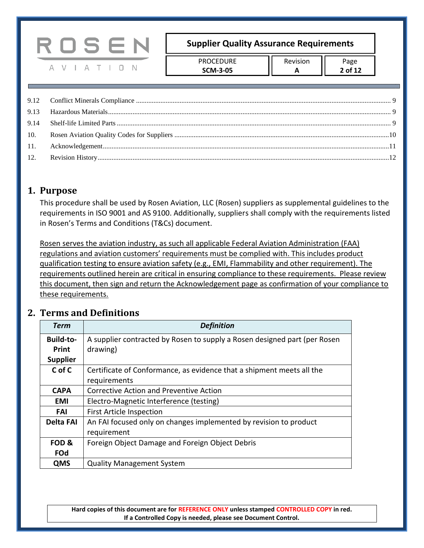> PROCEDURE **SCM-3-05**

## <span id="page-1-0"></span>**1. Purpose**

This procedure shall be used by Rosen Aviation, LLC (Rosen) suppliers as supplemental guidelines to the requirements in ISO 9001 and AS 9100. Additionally, suppliers shall comply with the requirements listed in Rosen's Terms and Conditions (T&Cs) document.

Rosen serves the aviation industry, as such all applicable Federal Aviation Administration (FAA) regulations and aviation customers' requirements must be complied with. This includes product qualification testing to ensure aviation safety (e.g., EMI, Flammability and other requirement). The requirements outlined herein are critical in ensuring compliance to these requirements. Please review this document, then sign and return the Acknowledgement page as confirmation of your compliance to these requirements.

## <span id="page-1-1"></span>**2. Terms and Definitions**

A V I A T I O N

| Term             | <b>Definition</b>                                                         |  |  |  |
|------------------|---------------------------------------------------------------------------|--|--|--|
| <b>Build-to-</b> | A supplier contracted by Rosen to supply a Rosen designed part (per Rosen |  |  |  |
| Print            | drawing)                                                                  |  |  |  |
| <b>Supplier</b>  |                                                                           |  |  |  |
| C of C           | Certificate of Conformance, as evidence that a shipment meets all the     |  |  |  |
|                  | requirements                                                              |  |  |  |
| <b>CAPA</b>      | Corrective Action and Preventive Action                                   |  |  |  |
| <b>EMI</b>       | Electro-Magnetic Interference (testing)                                   |  |  |  |
| FAI              | <b>First Article Inspection</b>                                           |  |  |  |
| Delta FAI        | An FAI focused only on changes implemented by revision to product         |  |  |  |
|                  | requirement                                                               |  |  |  |
| FOD &            | Foreign Object Damage and Foreign Object Debris                           |  |  |  |
| <b>FOd</b>       |                                                                           |  |  |  |
| <b>QMS</b>       | <b>Quality Management System</b>                                          |  |  |  |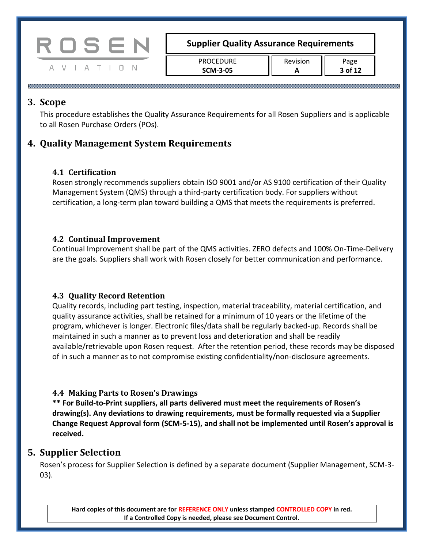

| <b>PROCEDURE</b> | Revision | 'age    |
|------------------|----------|---------|
| <b>SCM-3-05</b>  |          | 3 of 12 |

## <span id="page-2-0"></span>**3. Scope**

This procedure establishes the Quality Assurance Requirements for all Rosen Suppliers and is applicable to all Rosen Purchase Orders (POs).

## <span id="page-2-2"></span><span id="page-2-1"></span>**4. Quality Management System Requirements**

## **4.1 Certification**

Rosen strongly recommends suppliers obtain ISO 9001 and/or AS 9100 certification of their Quality Management System (QMS) through a third-party certification body. For suppliers without certification, a long-term plan toward building a QMS that meets the requirements is preferred.

## <span id="page-2-3"></span>**4.2 Continual Improvement**

Continual Improvement shall be part of the QMS activities. ZERO defects and 100% On-Time-Delivery are the goals. Suppliers shall work with Rosen closely for better communication and performance.

## <span id="page-2-4"></span>**4.3 Quality Record Retention**

Quality records, including part testing, inspection, material traceability, material certification, and quality assurance activities, shall be retained for a minimum of 10 years or the lifetime of the program, whichever is longer. Electronic files/data shall be regularly backed-up. Records shall be maintained in such a manner as to prevent loss and deterioration and shall be readily available/retrievable upon Rosen request. After the retention period, these records may be disposed of in such a manner as to not compromise existing confidentiality/non-disclosure agreements.

## <span id="page-2-5"></span>**4.4 Making Parts to Rosen's Drawings**

**\*\* For Build-to-Print suppliers, all parts delivered must meet the requirements of Rosen's drawing(s). Any deviations to drawing requirements, must be formally requested via a Supplier Change Request Approval form (SCM-5-15), and shall not be implemented until Rosen's approval is received.**

## <span id="page-2-6"></span>**5. Supplier Selection**

Rosen's process for Supplier Selection is defined by a separate document (Supplier Management, SCM-3- 03).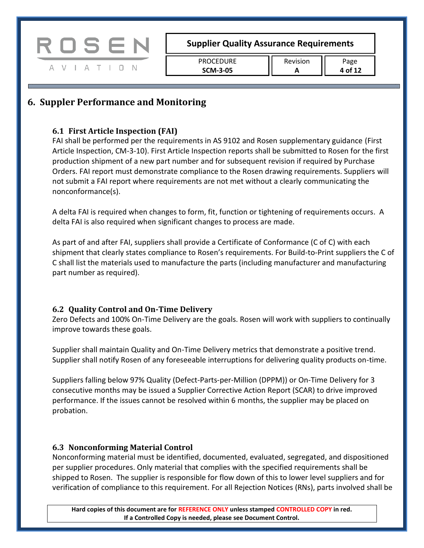

PROCEDURE **SCM-3-05**

## <span id="page-3-1"></span><span id="page-3-0"></span>**6. Suppler Performance and Monitoring**

## **6.1 First Article Inspection (FAI)**

FAI shall be performed per the requirements in AS 9102 and Rosen supplementary guidance (First Article Inspection, CM-3-10). First Article Inspection reports shall be submitted to Rosen for the first production shipment of a new part number and for subsequent revision if required by Purchase Orders. FAI report must demonstrate compliance to the Rosen drawing requirements. Suppliers will not submit a FAI report where requirements are not met without a clearly communicating the nonconformance(s).

A delta FAI is required when changes to form, fit, function or tightening of requirements occurs. A delta FAI is also required when significant changes to process are made.

As part of and after FAI, suppliers shall provide a Certificate of Conformance (C of C) with each shipment that clearly states compliance to Rosen's requirements. For Build-to-Print suppliers the C of C shall list the materials used to manufacture the parts (including manufacturer and manufacturing part number as required).

## <span id="page-3-2"></span>**6.2 Quality Control and On-Time Delivery**

Zero Defects and 100% On-Time Delivery are the goals. Rosen will work with suppliers to continually improve towards these goals.

Supplier shall maintain Quality and On-Time Delivery metrics that demonstrate a positive trend. Supplier shall notify Rosen of any foreseeable interruptions for delivering quality products on-time.

Suppliers falling below 97% Quality (Defect-Parts-per-Million (DPPM)) or On-Time Delivery for 3 consecutive months may be issued a Supplier Corrective Action Report (SCAR) to drive improved performance. If the issues cannot be resolved within 6 months, the supplier may be placed on probation.

## <span id="page-3-3"></span>**6.3 Nonconforming Material Control**

Nonconforming material must be identified, documented, evaluated, segregated, and dispositioned per supplier procedures. Only material that complies with the specified requirements shall be shipped to Rosen. The supplier is responsible for flow down of this to lower level suppliers and for verification of compliance to this requirement. For all Rejection Notices (RNs), parts involved shall be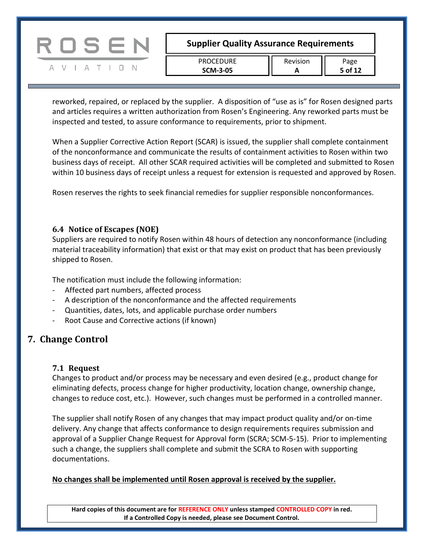

A V I A T I O N

## **Supplier Quality Assurance Requirements**

PROCEDURE **SCM-3-05**

Revision **A**

Page **5 of 12**

reworked, repaired, or replaced by the supplier. A disposition of "use as is" for Rosen designed parts and articles requires a written authorization from Rosen's Engineering. Any reworked parts must be inspected and tested, to assure conformance to requirements, prior to shipment.

When a Supplier Corrective Action Report (SCAR) is issued, the supplier shall complete containment of the nonconformance and communicate the results of containment activities to Rosen within two business days of receipt. All other SCAR required activities will be completed and submitted to Rosen within 10 business days of receipt unless a request for extension is requested and approved by Rosen.

Rosen reserves the rights to seek financial remedies for supplier responsible nonconformances.

#### <span id="page-4-0"></span>**6.4 Notice of Escapes (NOE)**

Suppliers are required to notify Rosen within 48 hours of detection any nonconformance (including material traceability information) that exist or that may exist on product that has been previously shipped to Rosen.

The notification must include the following information:

- Affected part numbers, affected process
- A description of the nonconformance and the affected requirements
- Quantities, dates, lots, and applicable purchase order numbers
- Root Cause and Corrective actions (if known)

## <span id="page-4-2"></span><span id="page-4-1"></span>**7. Change Control**

## **7.1 Request**

Changes to product and/or process may be necessary and even desired (e.g., product change for eliminating defects, process change for higher productivity, location change, ownership change, changes to reduce cost, etc.). However, such changes must be performed in a controlled manner.

The supplier shall notify Rosen of any changes that may impact product quality and/or on-time delivery. Any change that affects conformance to design requirements requires submission and approval of a Supplier Change Request for Approval form (SCRA; SCM-5-15). Prior to implementing such a change, the suppliers shall complete and submit the SCRA to Rosen with supporting documentations.

## **No changes shall be implemented until Rosen approval is received by the supplier.**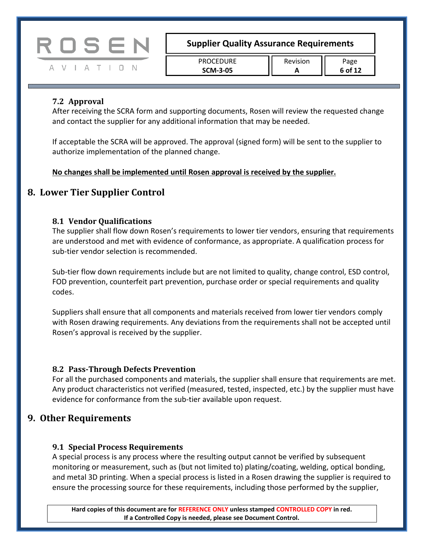

| <b>PROCEDURE</b> | Revision |
|------------------|----------|
| <b>SCM-3-05</b>  |          |

#### <span id="page-5-0"></span>**7.2 Approval**

After receiving the SCRA form and supporting documents, Rosen will review the requested change and contact the supplier for any additional information that may be needed.

If acceptable the SCRA will be approved. The approval (signed form) will be sent to the supplier to authorize implementation of the planned change.

**No changes shall be implemented until Rosen approval is received by the supplier.**

## <span id="page-5-2"></span><span id="page-5-1"></span>**8. Lower Tier Supplier Control**

#### **8.1 Vendor Qualifications**

The supplier shall flow down Rosen's requirements to lower tier vendors, ensuring that requirements are understood and met with evidence of conformance, as appropriate. A qualification process for sub-tier vendor selection is recommended.

Sub-tier flow down requirements include but are not limited to quality, change control, ESD control, FOD prevention, counterfeit part prevention, purchase order or special requirements and quality codes.

Suppliers shall ensure that all components and materials received from lower tier vendors comply with Rosen drawing requirements. Any deviations from the requirements shall not be accepted until Rosen's approval is received by the supplier.

#### <span id="page-5-3"></span>**8.2 Pass-Through Defects Prevention**

For all the purchased components and materials, the supplier shall ensure that requirements are met. Any product characteristics not verified (measured, tested, inspected, etc.) by the supplier must have evidence for conformance from the sub-tier available upon request.

## <span id="page-5-5"></span><span id="page-5-4"></span>**9. Other Requirements**

#### **9.1 Special Process Requirements**

A special process is any process where the resulting output cannot be verified by subsequent monitoring or measurement, such as (but not limited to) plating/coating, welding, optical bonding, and metal 3D printing. When a special process is listed in a Rosen drawing the supplier is required to ensure the processing source for these requirements, including those performed by the supplier,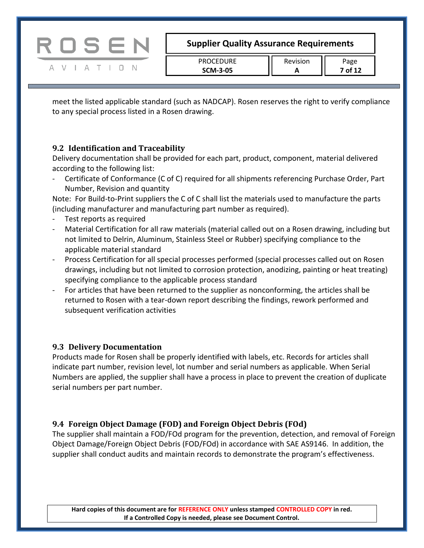meet the listed applicable standard (such as NADCAP). Rosen reserves the right to verify compliance to any special process listed in a Rosen drawing.

## <span id="page-6-0"></span>**9.2 Identification and Traceability**

Delivery documentation shall be provided for each part, product, component, material delivered according to the following list:

- Certificate of Conformance (C of C) required for all shipments referencing Purchase Order, Part Number, Revision and quantity

Note: For Build-to-Print suppliers the C of C shall list the materials used to manufacture the parts (including manufacturer and manufacturing part number as required).

- Test reports as required

ROSEN

A V I A T I O N

- Material Certification for all raw materials (material called out on a Rosen drawing, including but not limited to Delrin, Aluminum, Stainless Steel or Rubber) specifying compliance to the applicable material standard
- Process Certification for all special processes performed (special processes called out on Rosen drawings, including but not limited to corrosion protection, anodizing, painting or heat treating) specifying compliance to the applicable process standard
- For articles that have been returned to the supplier as nonconforming, the articles shall be returned to Rosen with a tear-down report describing the findings, rework performed and subsequent verification activities

## <span id="page-6-1"></span>**9.3 Delivery Documentation**

Products made for Rosen shall be properly identified with labels, etc. Records for articles shall indicate part number, revision level, lot number and serial numbers as applicable. When Serial Numbers are applied, the supplier shall have a process in place to prevent the creation of duplicate serial numbers per part number.

## <span id="page-6-2"></span>**9.4 Foreign Object Damage (FOD) and Foreign Object Debris (FOd)**

The supplier shall maintain a FOD/FOd program for the prevention, detection, and removal of Foreign Object Damage/Foreign Object Debris (FOD/FOd) in accordance with SAE AS9146. In addition, the supplier shall conduct audits and maintain records to demonstrate the program's effectiveness.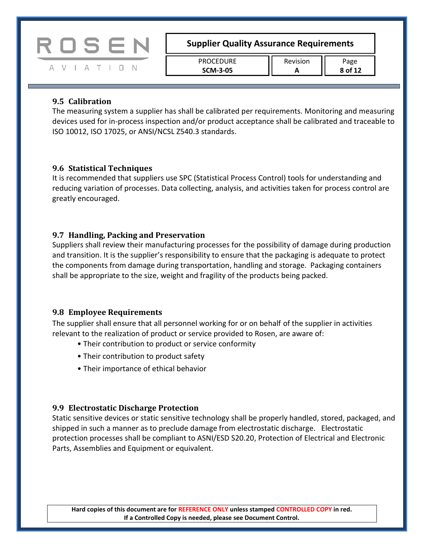

| PROCEDURE       |  |
|-----------------|--|
| <b>SCM-3-05</b> |  |

#### <span id="page-7-0"></span>**9.5 Calibration**

The measuring system a supplier has shall be calibrated per requirements. Monitoring and measuring devices used for in-process inspection and/or product acceptance shall be calibrated and traceable to ISO 10012, ISO 17025, or ANSI/NCSL Z540.3 standards.

#### <span id="page-7-1"></span>**9.6 Statistical Techniques**

It is recommended that suppliers use SPC (Statistical Process Control) tools for understanding and reducing variation of processes. Data collecting, analysis, and activities taken for process control are greatly encouraged.

## <span id="page-7-2"></span>**9.7 Handling, Packing and Preservation**

Suppliers shall review their manufacturing processes for the possibility of damage during production and transition. It is the supplier's responsibility to ensure that the packaging is adequate to protect the components from damage during transportation, handling and storage. Packaging containers shall be appropriate to the size, weight and fragility of the products being packed.

## <span id="page-7-3"></span>**9.8 Employee Requirements**

The supplier shall ensure that all personnel working for or on behalf of the supplier in activities relevant to the realization of product or service provided to Rosen, are aware of:

- Their contribution to product or service conformity
- Their contribution to product safety
- Their importance of ethical behavior

#### <span id="page-7-4"></span>**9.9 Electrostatic Discharge Protection**

Static sensitive devices or static sensitive technology shall be properly handled, stored, packaged, and shipped in such a manner as to preclude damage from electrostatic discharge. Electrostatic protection processes shall be compliant to ASNI/ESD S20.20, Protection of Electrical and Electronic Parts, Assemblies and Equipment or equivalent.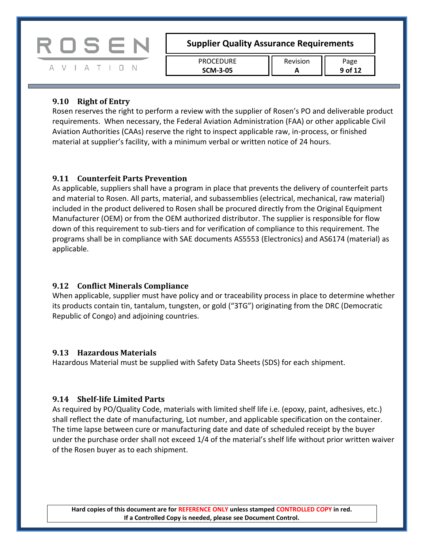

#### <span id="page-8-0"></span>**9.10 Right of Entry**

Rosen reserves the right to perform a review with the supplier of Rosen's PO and deliverable product requirements. When necessary, the Federal Aviation Administration (FAA) or other applicable Civil Aviation Authorities (CAAs) reserve the right to inspect applicable raw, in-process, or finished material at supplier's facility, with a minimum verbal or written notice of 24 hours.

#### <span id="page-8-1"></span>**9.11 Counterfeit Parts Prevention**

As applicable, suppliers shall have a program in place that prevents the delivery of counterfeit parts and material to Rosen. All parts, material, and subassemblies (electrical, mechanical, raw material) included in the product delivered to Rosen shall be procured directly from the Original Equipment Manufacturer (OEM) or from the OEM authorized distributor. The supplier is responsible for flow down of this requirement to sub-tiers and for verification of compliance to this requirement. The programs shall be in compliance with SAE documents AS5553 (Electronics) and AS6174 (material) as applicable.

#### <span id="page-8-2"></span>**9.12 Conflict Minerals Compliance**

When applicable, supplier must have policy and or traceability process in place to determine whether its products contain tin, tantalum, tungsten, or gold ("3TG") originating from the DRC (Democratic Republic of Congo) and adjoining countries.

#### <span id="page-8-3"></span>**9.13 Hazardous Materials**

Hazardous Material must be supplied with Safety Data Sheets (SDS) for each shipment.

#### <span id="page-8-4"></span>**9.14 Shelf-life Limited Parts**

As required by PO/Quality Code, materials with limited shelf life i.e. (epoxy, paint, adhesives, etc.) shall reflect the date of manufacturing, Lot number, and applicable specification on the container. The time lapse between cure or manufacturing date and date of scheduled receipt by the buyer under the purchase order shall not exceed 1/4 of the material's shelf life without prior written waiver of the Rosen buyer as to each shipment.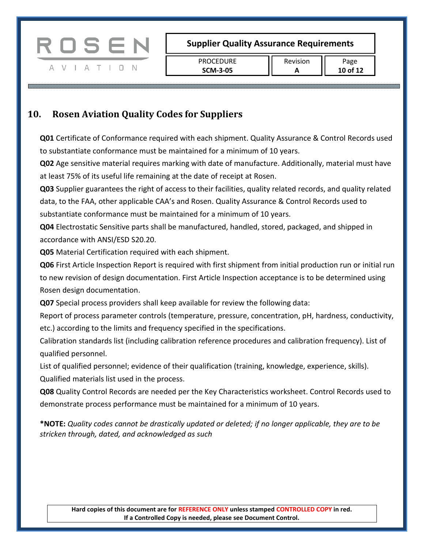

## <span id="page-9-0"></span>**10. Rosen Aviation Quality Codes for Suppliers**

**Q01** Certificate of Conformance required with each shipment. Quality Assurance & Control Records used to substantiate conformance must be maintained for a minimum of 10 years.

**Q02** Age sensitive material requires marking with date of manufacture. Additionally, material must have at least 75% of its useful life remaining at the date of receipt at Rosen.

**Q03** Supplier guarantees the right of access to their facilities, quality related records, and quality related data, to the FAA, other applicable CAA's and Rosen. Quality Assurance & Control Records used to substantiate conformance must be maintained for a minimum of 10 years.

**Q04** Electrostatic Sensitive parts shall be manufactured, handled, stored, packaged, and shipped in accordance with ANSI/ESD S20.20.

**Q05** Material Certification required with each shipment.

**Q06** First Article Inspection Report is required with first shipment from initial production run or initial run to new revision of design documentation. First Article Inspection acceptance is to be determined using Rosen design documentation.

**Q07** Special process providers shall keep available for review the following data:

Report of process parameter controls (temperature, pressure, concentration, pH, hardness, conductivity, etc.) according to the limits and frequency specified in the specifications.

Calibration standards list (including calibration reference procedures and calibration frequency). List of qualified personnel.

List of qualified personnel; evidence of their qualification (training, knowledge, experience, skills). Qualified materials list used in the process.

**Q08** Quality Control Records are needed per the Key Characteristics worksheet. Control Records used to demonstrate process performance must be maintained for a minimum of 10 years.

**\*NOTE:** *Quality codes cannot be drastically updated or deleted; if no longer applicable, they are to be stricken through, dated, and acknowledged as such*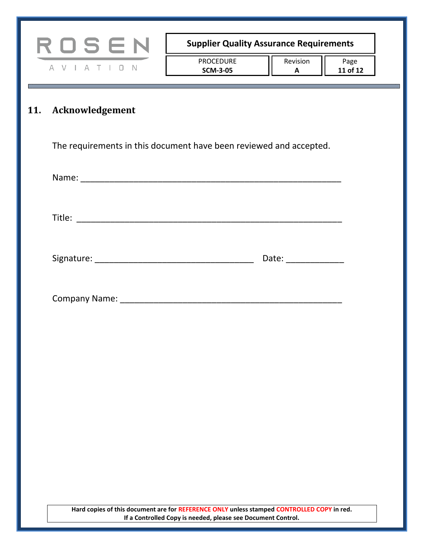<span id="page-10-0"></span>

| ROSEN           |                                                                    | <b>Supplier Quality Assurance Requirements</b> |                  |
|-----------------|--------------------------------------------------------------------|------------------------------------------------|------------------|
| A V I A T I D N | PROCEDURE<br><b>SCM-3-05</b>                                       | Revision<br>A                                  | Page<br>11 of 12 |
| Acknowledgement |                                                                    |                                                |                  |
|                 | The requirements in this document have been reviewed and accepted. |                                                |                  |
|                 |                                                                    |                                                |                  |
|                 |                                                                    |                                                |                  |
|                 |                                                                    | Date: _______________                          |                  |
|                 |                                                                    |                                                |                  |
|                 |                                                                    |                                                |                  |
|                 |                                                                    |                                                |                  |
|                 |                                                                    |                                                |                  |
|                 |                                                                    |                                                |                  |
|                 |                                                                    |                                                |                  |
|                 |                                                                    |                                                |                  |